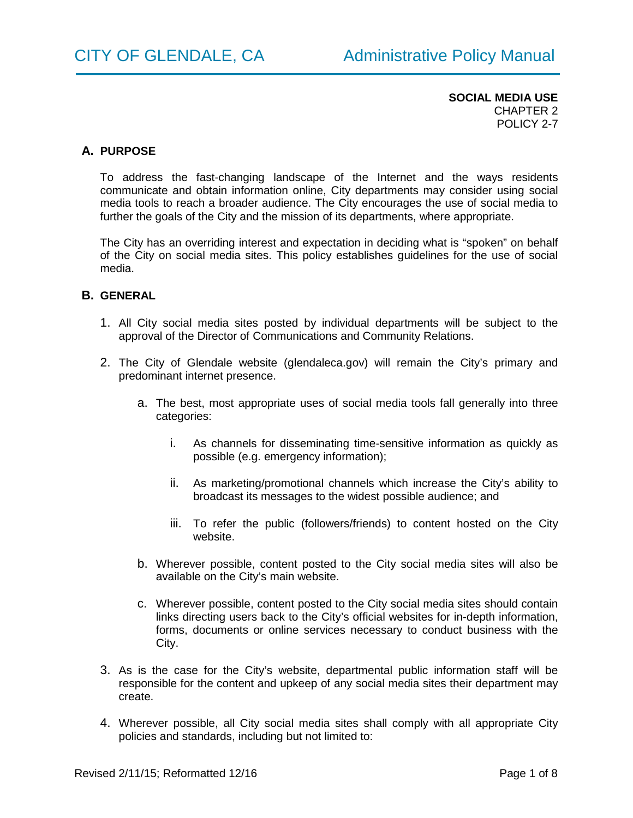## **A. PURPOSE**

To address the fast-changing landscape of the Internet and the ways residents communicate and obtain information online, City departments may consider using social media tools to reach a broader audience. The City encourages the use of social media to further the goals of the City and the mission of its departments, where appropriate.

The City has an overriding interest and expectation in deciding what is "spoken" on behalf of the City on social media sites. This policy establishes guidelines for the use of social media.

## **B. GENERAL**

- 1. All City social media sites posted by individual departments will be subject to the approval of the Director of Communications and Community Relations.
- 2. The City of Glendale website (glendaleca.gov) will remain the City's primary and predominant internet presence.
	- a. The best, most appropriate uses of social media tools fall generally into three categories:
		- i. As channels for disseminating time-sensitive information as quickly as possible (e.g. emergency information);
		- ii. As marketing/promotional channels which increase the City's ability to broadcast its messages to the widest possible audience; and
		- iii. To refer the public (followers/friends) to content hosted on the City website.
	- b. Wherever possible, content posted to the City social media sites will also be available on the City's main website.
	- c. Wherever possible, content posted to the City social media sites should contain links directing users back to the City's official websites for in-depth information, forms, documents or online services necessary to conduct business with the City.
- 3. As is the case for the City's website, departmental public information staff will be responsible for the content and upkeep of any social media sites their department may create.
- 4. Wherever possible, all City social media sites shall comply with all appropriate City policies and standards, including but not limited to: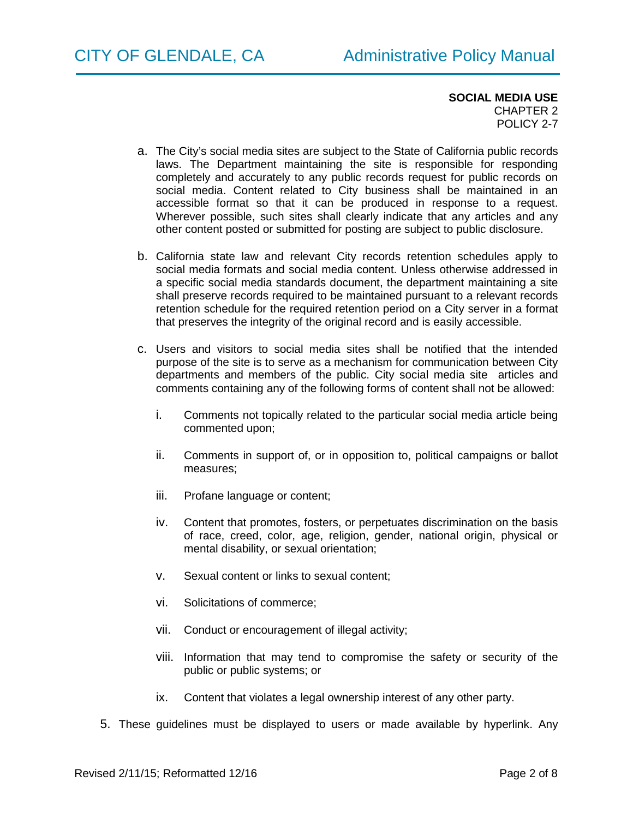- a. The City's social media sites are subject to the State of California public records laws. The Department maintaining the site is responsible for responding completely and accurately to any public records request for public records on social media. Content related to City business shall be maintained in an accessible format so that it can be produced in response to a request. Wherever possible, such sites shall clearly indicate that any articles and any other content posted or submitted for posting are subject to public disclosure.
- b. California state law and relevant City records retention schedules apply to social media formats and social media content. Unless otherwise addressed in a specific social media standards document, the department maintaining a site shall preserve records required to be maintained pursuant to a relevant records retention schedule for the required retention period on a City server in a format that preserves the integrity of the original record and is easily accessible.
- c. Users and visitors to social media sites shall be notified that the intended purpose of the site is to serve as a mechanism for communication between City departments and members of the public. City social media site articles and comments containing any of the following forms of content shall not be allowed:
	- i. Comments not topically related to the particular social media article being commented upon;
	- ii. Comments in support of, or in opposition to, political campaigns or ballot measures;
	- iii. Profane language or content;
	- iv. Content that promotes, fosters, or perpetuates discrimination on the basis of race, creed, color, age, religion, gender, national origin, physical or mental disability, or sexual orientation;
	- v. Sexual content or links to sexual content;
	- vi. Solicitations of commerce;
	- vii. Conduct or encouragement of illegal activity;
	- viii. Information that may tend to compromise the safety or security of the public or public systems; or
	- ix. Content that violates a legal ownership interest of any other party.
- 5. These guidelines must be displayed to users or made available by hyperlink. Any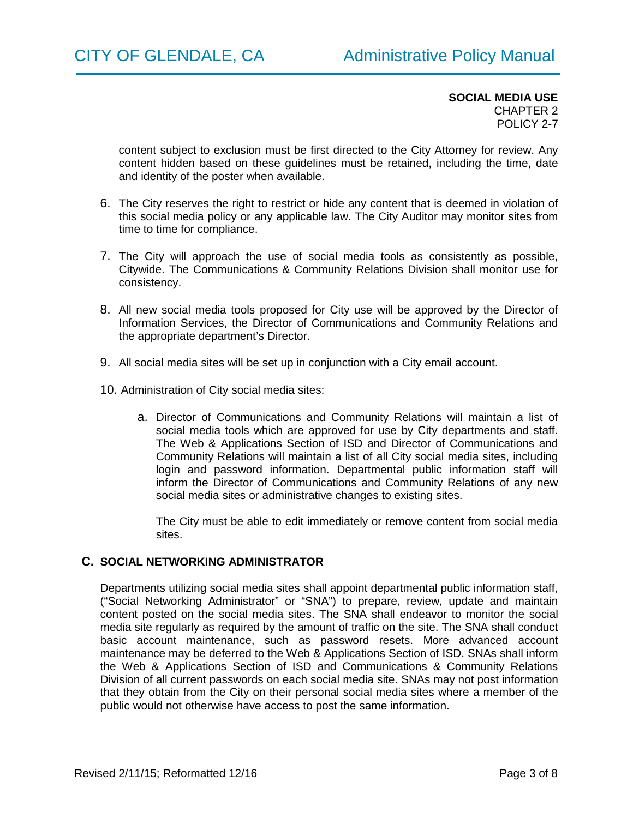content subject to exclusion must be first directed to the City Attorney for review. Any content hidden based on these guidelines must be retained, including the time, date and identity of the poster when available.

- 6. The City reserves the right to restrict or hide any content that is deemed in violation of this social media policy or any applicable law. The City Auditor may monitor sites from time to time for compliance.
- 7. The City will approach the use of social media tools as consistently as possible, Citywide. The Communications & Community Relations Division shall monitor use for consistency.
- 8. All new social media tools proposed for City use will be approved by the Director of Information Services, the Director of Communications and Community Relations and the appropriate department's Director.
- 9. All social media sites will be set up in conjunction with a City email account.
- 10. Administration of City social media sites:
	- a. Director of Communications and Community Relations will maintain a list of social media tools which are approved for use by City departments and staff. The Web & Applications Section of ISD and Director of Communications and Community Relations will maintain a list of all City social media sites, including login and password information. Departmental public information staff will inform the Director of Communications and Community Relations of any new social media sites or administrative changes to existing sites.

The City must be able to edit immediately or remove content from social media sites.

#### **C. SOCIAL NETWORKING ADMINISTRATOR**

Departments utilizing social media sites shall appoint departmental public information staff, ("Social Networking Administrator" or "SNA") to prepare, review, update and maintain content posted on the social media sites. The SNA shall endeavor to monitor the social media site regularly as required by the amount of traffic on the site. The SNA shall conduct basic account maintenance, such as password resets. More advanced account maintenance may be deferred to the Web & Applications Section of ISD. SNAs shall inform the Web & Applications Section of ISD and Communications & Community Relations Division of all current passwords on each social media site. SNAs may not post information that they obtain from the City on their personal social media sites where a member of the public would not otherwise have access to post the same information.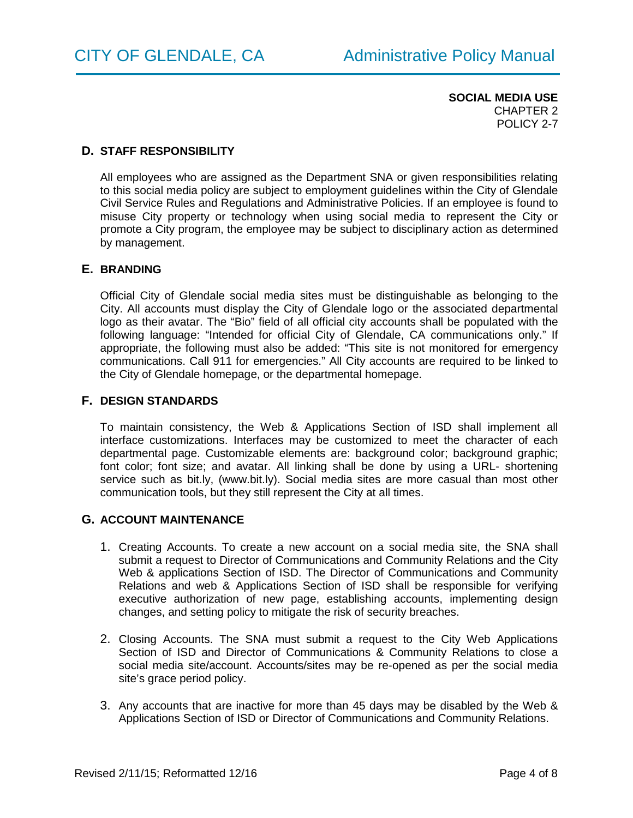## **D. STAFF RESPONSIBILITY**

All employees who are assigned as the Department SNA or given responsibilities relating to this social media policy are subject to employment guidelines within the City of Glendale Civil Service Rules and Regulations and Administrative Policies. If an employee is found to misuse City property or technology when using social media to represent the City or promote a City program, the employee may be subject to disciplinary action as determined by management.

#### **E. BRANDING**

Official City of Glendale social media sites must be distinguishable as belonging to the City. All accounts must display the City of Glendale logo or the associated departmental logo as their avatar. The "Bio" field of all official city accounts shall be populated with the following language: "Intended for official City of Glendale, CA communications only." If appropriate, the following must also be added: "This site is not monitored for emergency communications. Call 911 for emergencies." All City accounts are required to be linked to the City of Glendale homepage, or the departmental homepage.

#### **F. DESIGN STANDARDS**

To maintain consistency, the Web & Applications Section of ISD shall implement all interface customizations. Interfaces may be customized to meet the character of each departmental page. Customizable elements are: background color; background graphic; font color; font size; and avatar. All linking shall be done by using a URL- shortening service such as bit.ly, (www.bit.ly). Social media sites are more casual than most other communication tools, but they still represent the City at all times.

#### **G. ACCOUNT MAINTENANCE**

- 1. Creating Accounts. To create a new account on a social media site, the SNA shall submit a request to Director of Communications and Community Relations and the City Web & applications Section of ISD. The Director of Communications and Community Relations and web & Applications Section of ISD shall be responsible for verifying executive authorization of new page, establishing accounts, implementing design changes, and setting policy to mitigate the risk of security breaches.
- 2. Closing Accounts. The SNA must submit a request to the City Web Applications Section of ISD and Director of Communications & Community Relations to close a social media site/account. Accounts/sites may be re-opened as per the social media site's grace period policy.
- 3. Any accounts that are inactive for more than 45 days may be disabled by the Web & Applications Section of ISD or Director of Communications and Community Relations.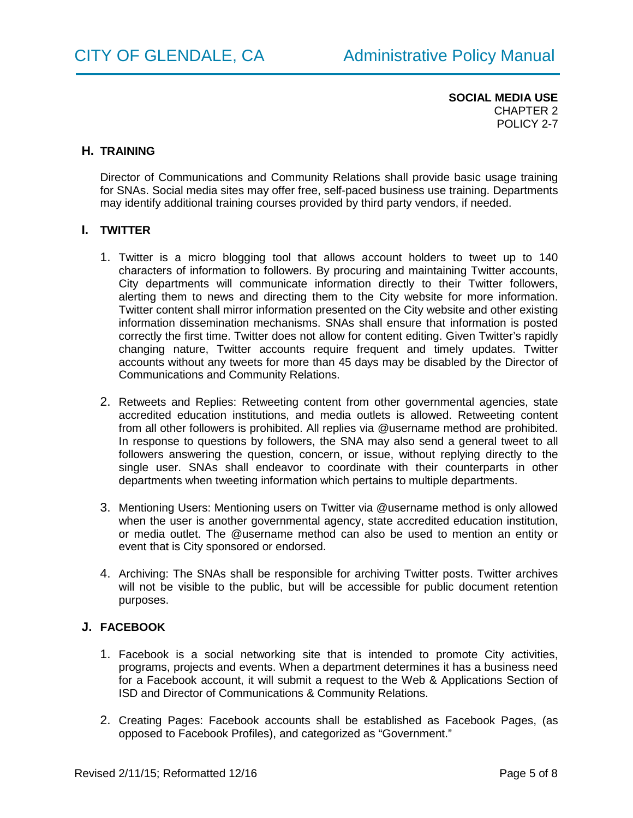#### **H. TRAINING**

Director of Communications and Community Relations shall provide basic usage training for SNAs. Social media sites may offer free, self-paced business use training. Departments may identify additional training courses provided by third party vendors, if needed.

## **I. TWITTER**

- 1. Twitter is a micro blogging tool that allows account holders to tweet up to 140 characters of information to followers. By procuring and maintaining Twitter accounts, City departments will communicate information directly to their Twitter followers, alerting them to news and directing them to the City website for more information. Twitter content shall mirror information presented on the City website and other existing information dissemination mechanisms. SNAs shall ensure that information is posted correctly the first time. Twitter does not allow for content editing. Given Twitter's rapidly changing nature, Twitter accounts require frequent and timely updates. Twitter accounts without any tweets for more than 45 days may be disabled by the Director of Communications and Community Relations.
- 2. Retweets and Replies: Retweeting content from other governmental agencies, state accredited education institutions, and media outlets is allowed. Retweeting content from all other followers is prohibited. All replies via @username method are prohibited. In response to questions by followers, the SNA may also send a general tweet to all followers answering the question, concern, or issue, without replying directly to the single user. SNAs shall endeavor to coordinate with their counterparts in other departments when tweeting information which pertains to multiple departments.
- 3. Mentioning Users: Mentioning users on Twitter via @username method is only allowed when the user is another governmental agency, state accredited education institution, or media outlet. The @username method can also be used to mention an entity or event that is City sponsored or endorsed.
- 4. Archiving: The SNAs shall be responsible for archiving Twitter posts. Twitter archives will not be visible to the public, but will be accessible for public document retention purposes.

## **J. FACEBOOK**

- 1. Facebook is a social networking site that is intended to promote City activities, programs, projects and events. When a department determines it has a business need for a Facebook account, it will submit a request to the Web & Applications Section of ISD and Director of Communications & Community Relations.
- 2. Creating Pages: Facebook accounts shall be established as Facebook Pages, (as opposed to Facebook Profiles), and categorized as "Government."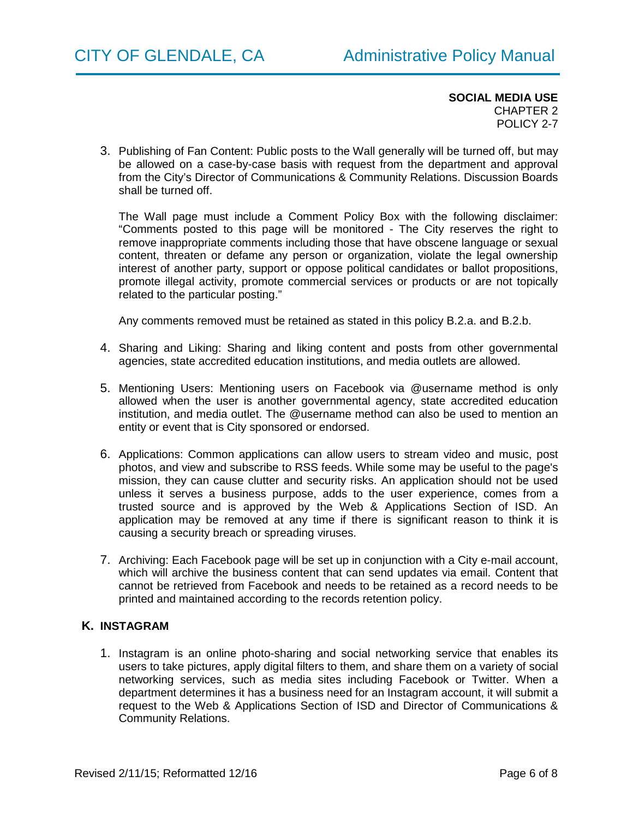3. Publishing of Fan Content: Public posts to the Wall generally will be turned off, but may be allowed on a case-by-case basis with request from the department and approval from the City's Director of Communications & Community Relations. Discussion Boards shall be turned off.

The Wall page must include a Comment Policy Box with the following disclaimer: "Comments posted to this page will be monitored - The City reserves the right to remove inappropriate comments including those that have obscene language or sexual content, threaten or defame any person or organization, violate the legal ownership interest of another party, support or oppose political candidates or ballot propositions, promote illegal activity, promote commercial services or products or are not topically related to the particular posting."

Any comments removed must be retained as stated in this policy B.2.a. and B.2.b.

- 4. Sharing and Liking: Sharing and liking content and posts from other governmental agencies, state accredited education institutions, and media outlets are allowed.
- 5. Mentioning Users: Mentioning users on Facebook via @username method is only allowed when the user is another governmental agency, state accredited education institution, and media outlet. The @username method can also be used to mention an entity or event that is City sponsored or endorsed.
- 6. Applications: Common applications can allow users to stream video and music, post photos, and view and subscribe to RSS feeds. While some may be useful to the page's mission, they can cause clutter and security risks. An application should not be used unless it serves a business purpose, adds to the user experience, comes from a trusted source and is approved by the Web & Applications Section of ISD. An application may be removed at any time if there is significant reason to think it is causing a security breach or spreading viruses.
- 7. Archiving: Each Facebook page will be set up in conjunction with a City e-mail account, which will archive the business content that can send updates via email. Content that cannot be retrieved from Facebook and needs to be retained as a record needs to be printed and maintained according to the records retention policy.

## **K. INSTAGRAM**

1. Instagram is an online photo-sharing and social networking service that enables its users to take pictures, apply digital filters to them, and share them on a variety of social networking services, such as media sites including Facebook or Twitter. When a department determines it has a business need for an Instagram account, it will submit a request to the Web & Applications Section of ISD and Director of Communications & Community Relations.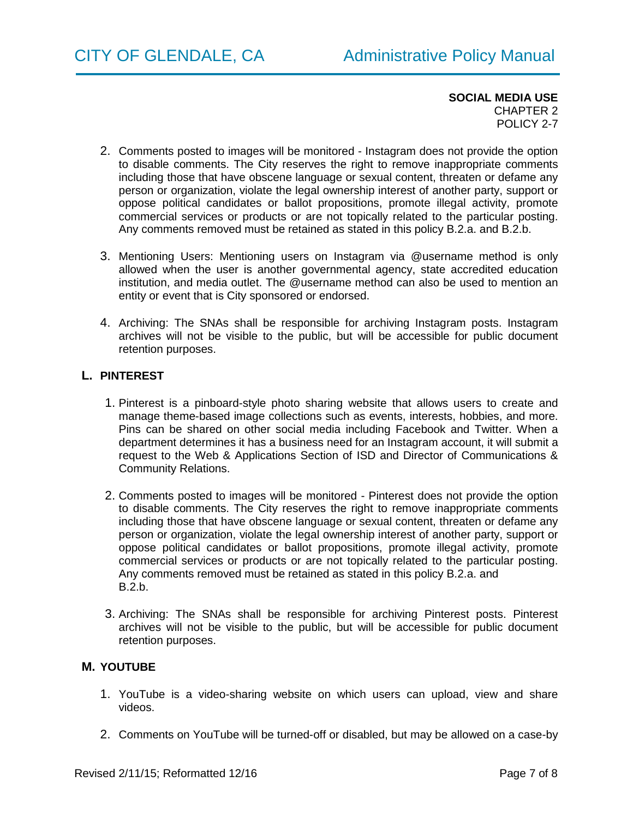- 2. Comments posted to images will be monitored Instagram does not provide the option to disable comments. The City reserves the right to remove inappropriate comments including those that have obscene language or sexual content, threaten or defame any person or organization, violate the legal ownership interest of another party, support or oppose political candidates or ballot propositions, promote illegal activity, promote commercial services or products or are not topically related to the particular posting. Any comments removed must be retained as stated in this policy B.2.a. and B.2.b.
- 3. Mentioning Users: Mentioning users on Instagram via @username method is only allowed when the user is another governmental agency, state accredited education institution, and media outlet. The @username method can also be used to mention an entity or event that is City sponsored or endorsed.
- 4. Archiving: The SNAs shall be responsible for archiving Instagram posts. Instagram archives will not be visible to the public, but will be accessible for public document retention purposes.

# **L. PINTEREST**

- 1. Pinterest is a pinboard-style photo sharing website that allows users to create and manage theme-based image collections such as events, interests, hobbies, and more. Pins can be shared on other social media including Facebook and Twitter. When a department determines it has a business need for an Instagram account, it will submit a request to the Web & Applications Section of ISD and Director of Communications & Community Relations.
- 2. Comments posted to images will be monitored Pinterest does not provide the option to disable comments. The City reserves the right to remove inappropriate comments including those that have obscene language or sexual content, threaten or defame any person or organization, violate the legal ownership interest of another party, support or oppose political candidates or ballot propositions, promote illegal activity, promote commercial services or products or are not topically related to the particular posting. Any comments removed must be retained as stated in this policy B.2.a. and B.2.b.
- 3. Archiving: The SNAs shall be responsible for archiving Pinterest posts. Pinterest archives will not be visible to the public, but will be accessible for public document retention purposes.

# **M. YOUTUBE**

- 1. YouTube is a video-sharing website on which users can upload, view and share videos.
- 2. Comments on YouTube will be turned-off or disabled, but may be allowed on a case-by